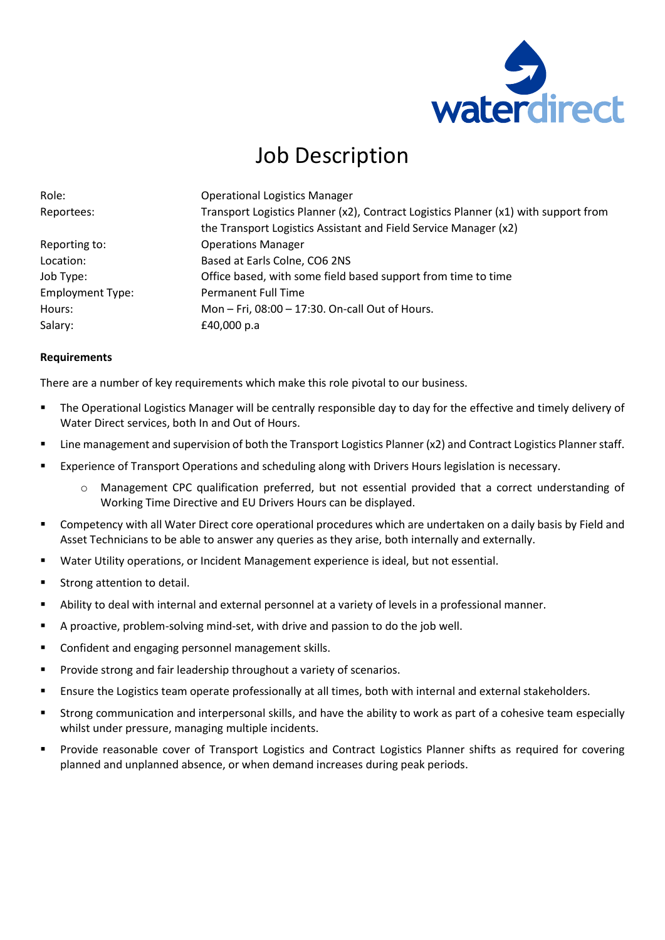

## Job Description

| Role:                   | <b>Operational Logistics Manager</b>                                                |
|-------------------------|-------------------------------------------------------------------------------------|
| Reportees:              | Transport Logistics Planner (x2), Contract Logistics Planner (x1) with support from |
|                         | the Transport Logistics Assistant and Field Service Manager (x2)                    |
| Reporting to:           | <b>Operations Manager</b>                                                           |
| Location:               | Based at Earls Colne, CO6 2NS                                                       |
| Job Type:               | Office based, with some field based support from time to time                       |
| <b>Employment Type:</b> | <b>Permanent Full Time</b>                                                          |
| Hours:                  | Mon - Fri, 08:00 - 17:30. On-call Out of Hours.                                     |
| Salary:                 | £40,000 p.a                                                                         |

## **Requirements**

There are a number of key requirements which make this role pivotal to our business.

- The Operational Logistics Manager will be centrally responsible day to day for the effective and timely delivery of Water Direct services, both In and Out of Hours.
- Line management and supervision of both the Transport Logistics Planner (x2) and Contract Logistics Planner staff.
- Experience of Transport Operations and scheduling along with Drivers Hours legislation is necessary.
	- o Management CPC qualification preferred, but not essential provided that a correct understanding of Working Time Directive and EU Drivers Hours can be displayed.
- Competency with all Water Direct core operational procedures which are undertaken on a daily basis by Field and Asset Technicians to be able to answer any queries as they arise, both internally and externally.
- Water Utility operations, or Incident Management experience is ideal, but not essential.
- Strong attention to detail.
- Ability to deal with internal and external personnel at a variety of levels in a professional manner.
- A proactive, problem-solving mind-set, with drive and passion to do the job well.
- Confident and engaging personnel management skills.
- Provide strong and fair leadership throughout a variety of scenarios.
- Ensure the Logistics team operate professionally at all times, both with internal and external stakeholders.
- Strong communication and interpersonal skills, and have the ability to work as part of a cohesive team especially whilst under pressure, managing multiple incidents.
- Provide reasonable cover of Transport Logistics and Contract Logistics Planner shifts as required for covering planned and unplanned absence, or when demand increases during peak periods.